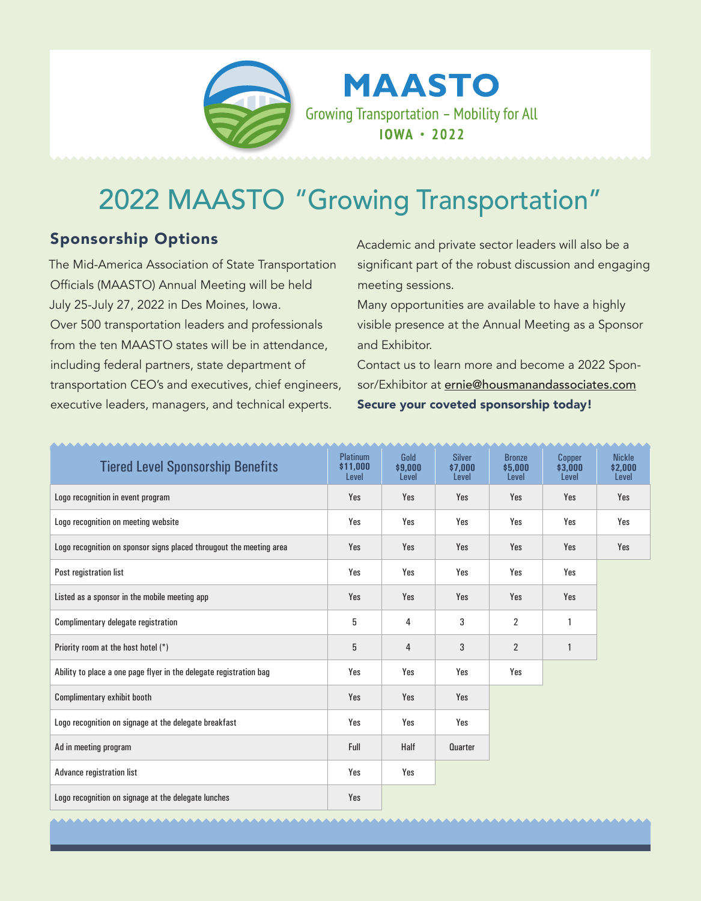

**MAASTO** Growing Transportation - Mobility for All  $10WA \cdot 2022$ 

## 2022 MAASTO "Growing Transportation"

## Sponsorship Options

The Mid-America Association of State Transportation Officials (MAASTO) Annual Meeting will be held July 25-July 27, 2022 in Des Moines, Iowa. Over 500 transportation leaders and professionals from the ten MAASTO states will be in attendance, including federal partners, state department of transportation CEO's and executives, chief engineers, executive leaders, managers, and technical experts.

Academic and private sector leaders will also be a significant part of the robust discussion and engaging meeting sessions.

Many opportunities are available to have a highly visible presence at the Annual Meeting as a Sponsor and Exhibitor.

Contact us to learn more and become a 2022 Sponsor/Exhibitor at ernie@housmanandassociates.com Secure your coveted sponsorship today!

| <b>Tiered Level Sponsorship Benefits</b>                            | <b>Platinum</b><br>\$11,000<br>Level | Gold<br>\$9,000<br>Level | <b>Silver</b><br>\$7,000<br>Level | <b>Bronze</b><br>\$5,000<br>Level | Copper<br>\$3,000<br>Level | <b>Nickle</b><br>\$2,000<br>Level |
|---------------------------------------------------------------------|--------------------------------------|--------------------------|-----------------------------------|-----------------------------------|----------------------------|-----------------------------------|
| Logo recognition in event program                                   | Yes                                  | Yes                      | Yes                               | Yes                               | Yes                        | Yes                               |
| Logo recognition on meeting website                                 | Yes                                  | Yes                      | Yes                               | Yes                               | Yes                        | Yes                               |
| Logo recognition on sponsor signs placed througout the meeting area | Yes                                  | Yes                      | Yes                               | Yes                               | Yes                        | Yes                               |
| Post registration list                                              | Yes                                  | Yes                      | Yes                               | Yes                               | Yes                        |                                   |
| Listed as a sponsor in the mobile meeting app                       | Yes                                  | Yes                      | Yes                               | Yes                               | Yes                        |                                   |
| Complimentary delegate registration                                 | 5                                    | 4                        | 3                                 | $\overline{2}$                    | 1                          |                                   |
| Priority room at the host hotel (*)                                 | 5                                    | 4                        | 3                                 | $\overline{2}$                    | $\mathbf{1}$               |                                   |
| Ability to place a one page flyer in the delegate registration bag  | Yes                                  | Yes                      | Yes                               | Yes                               |                            |                                   |
| Complimentary exhibit booth                                         | Yes                                  | Yes                      | Yes                               |                                   |                            |                                   |
| Logo recognition on signage at the delegate breakfast               | Yes                                  | Yes                      | Yes                               |                                   |                            |                                   |
| Ad in meeting program                                               | Full                                 | Half                     | Quarter                           |                                   |                            |                                   |
| Advance registration list                                           | Yes                                  | Yes                      |                                   |                                   |                            |                                   |
| Logo recognition on signage at the delegate lunches                 | Yes                                  |                          |                                   |                                   |                            |                                   |